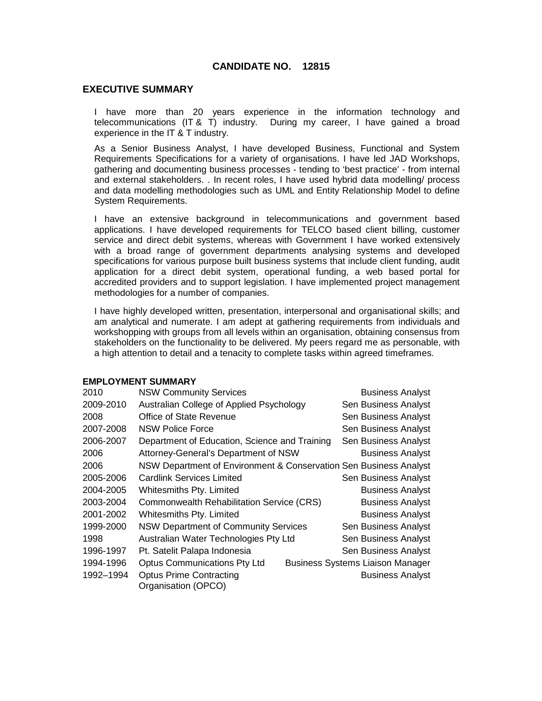# **CANDIDATE NO. 12815**

## **EXECUTIVE SUMMARY**

I have more than 20 years experience in the information technology and telecommunications (IT & T) industry. During my career, I have gained a broad experience in the IT & T industry.

As a Senior Business Analyst, I have developed Business, Functional and System Requirements Specifications for a variety of organisations. I have led JAD Workshops, gathering and documenting business processes - tending to 'best practice' - from internal and external stakeholders. . In recent roles, I have used hybrid data modelling/ process and data modelling methodologies such as UML and Entity Relationship Model to define System Requirements.

I have an extensive background in telecommunications and government based applications. I have developed requirements for TELCO based client billing, customer service and direct debit systems, whereas with Government I have worked extensively with a broad range of government departments analysing systems and developed specifications for various purpose built business systems that include client funding, audit application for a direct debit system, operational funding, a web based portal for accredited providers and to support legislation. I have implemented project management methodologies for a number of companies.

I have highly developed written, presentation, interpersonal and organisational skills; and am analytical and numerate. I am adept at gathering requirements from individuals and workshopping with groups from all levels within an organisation, obtaining consensus from stakeholders on the functionality to be delivered. My peers regard me as personable, with a high attention to detail and a tenacity to complete tasks within agreed timeframes.

## **EMPLOYMENT SUMMARY**

| 2010      | <b>NSW Community Services</b>                                     | <b>Business Analyst</b>                 |
|-----------|-------------------------------------------------------------------|-----------------------------------------|
| 2009-2010 | Australian College of Applied Psychology                          | Sen Business Analyst                    |
| 2008      | Office of State Revenue                                           | Sen Business Analyst                    |
| 2007-2008 | <b>NSW Police Force</b>                                           | Sen Business Analyst                    |
| 2006-2007 | Department of Education, Science and Training                     | Sen Business Analyst                    |
| 2006      | Attorney-General's Department of NSW                              | <b>Business Analyst</b>                 |
| 2006      | NSW Department of Environment & Conservation Sen Business Analyst |                                         |
| 2005-2006 | <b>Cardlink Services Limited</b>                                  | Sen Business Analyst                    |
| 2004-2005 | Whitesmiths Pty. Limited                                          | <b>Business Analyst</b>                 |
| 2003-2004 | Commonwealth Rehabilitation Service (CRS)                         | <b>Business Analyst</b>                 |
| 2001-2002 | Whitesmiths Pty. Limited                                          | <b>Business Analyst</b>                 |
| 1999-2000 | <b>NSW Department of Community Services</b>                       | Sen Business Analyst                    |
| 1998      | Australian Water Technologies Pty Ltd                             | Sen Business Analyst                    |
| 1996-1997 | Pt. Satelit Palapa Indonesia                                      | Sen Business Analyst                    |
| 1994-1996 | <b>Optus Communications Pty Ltd</b>                               | <b>Business Systems Liaison Manager</b> |
| 1992-1994 | <b>Optus Prime Contracting</b><br>Organisation (OPCO)             | <b>Business Analyst</b>                 |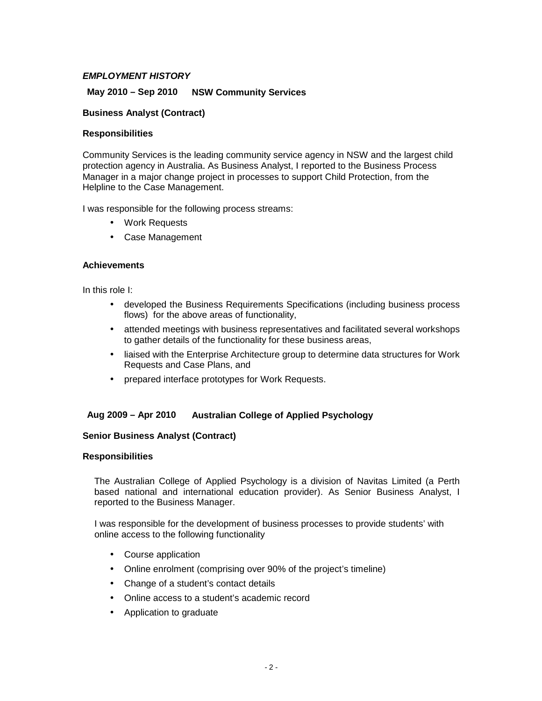## **EMPLOYMENT HISTORY**

## **May 2010 – Sep 2010 NSW Community Services**

## **Business Analyst (Contract)**

## **Responsibilities**

Community Services is the leading community service agency in NSW and the largest child protection agency in Australia. As Business Analyst, I reported to the Business Process Manager in a major change project in processes to support Child Protection, from the Helpline to the Case Management.

I was responsible for the following process streams:

- Work Requests
- Case Management

#### **Achievements**

In this role I:

- developed the Business Requirements Specifications (including business process flows) for the above areas of functionality,
- attended meetings with business representatives and facilitated several workshops to gather details of the functionality for these business areas,
- liaised with the Enterprise Architecture group to determine data structures for Work Requests and Case Plans, and
- prepared interface prototypes for Work Requests.

## **Aug 2009 – Apr 2010 Australian College of Applied Psychology**

## **Senior Business Analyst (Contract)**

#### **Responsibilities**

The Australian College of Applied Psychology is a division of Navitas Limited (a Perth based national and international education provider). As Senior Business Analyst, I reported to the Business Manager.

I was responsible for the development of business processes to provide students' with online access to the following functionality

- Course application
- Online enrolment (comprising over 90% of the project's timeline)
- Change of a student's contact details
- Online access to a student's academic record
- Application to graduate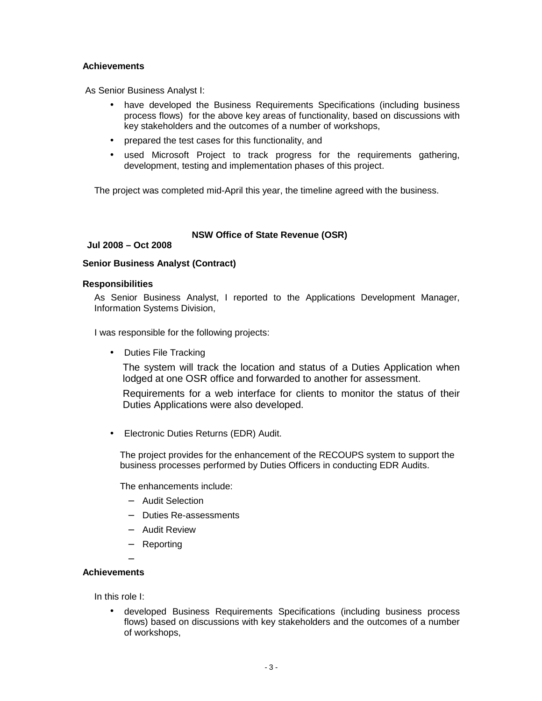## **Achievements**

As Senior Business Analyst I:

- have developed the Business Requirements Specifications (including business process flows) for the above key areas of functionality, based on discussions with key stakeholders and the outcomes of a number of workshops,
- prepared the test cases for this functionality, and
- used Microsoft Project to track progress for the requirements gathering, development, testing and implementation phases of this project.

The project was completed mid-April this year, the timeline agreed with the business.

## **NSW Office of State Revenue (OSR)**

## **Jul 2008 – Oct 2008**

## **Senior Business Analyst (Contract)**

## **Responsibilities**

As Senior Business Analyst, I reported to the Applications Development Manager, Information Systems Division,

I was responsible for the following projects:

• Duties File Tracking

The system will track the location and status of a Duties Application when lodged at one OSR office and forwarded to another for assessment.

Requirements for a web interface for clients to monitor the status of their Duties Applications were also developed.

• Electronic Duties Returns (EDR) Audit.

The project provides for the enhancement of the RECOUPS system to support the business processes performed by Duties Officers in conducting EDR Audits.

The enhancements include:

- − Audit Selection
- − Duties Re-assessments
- − Audit Review
- − Reporting

−

## **Achievements**

In this role I:

• developed Business Requirements Specifications (including business process flows) based on discussions with key stakeholders and the outcomes of a number of workshops,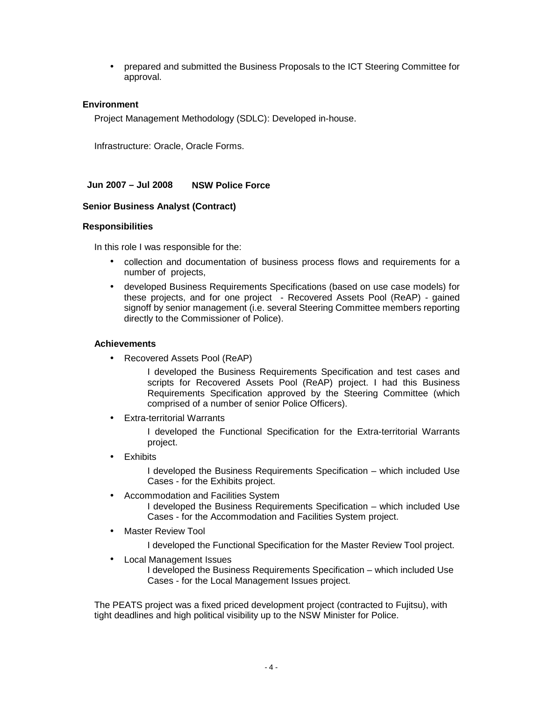• prepared and submitted the Business Proposals to the ICT Steering Committee for approval.

## **Environment**

Project Management Methodology (SDLC): Developed in-house.

Infrastructure: Oracle, Oracle Forms.

**Jun 2007 – Jul 2008 NSW Police Force**

## **Senior Business Analyst (Contract)**

## **Responsibilities**

In this role I was responsible for the:

- collection and documentation of business process flows and requirements for a number of projects,
- developed Business Requirements Specifications (based on use case models) for these projects, and for one project - Recovered Assets Pool (ReAP) - gained signoff by senior management (i.e. several Steering Committee members reporting directly to the Commissioner of Police).

## **Achievements**

• Recovered Assets Pool (ReAP)

I developed the Business Requirements Specification and test cases and scripts for Recovered Assets Pool (ReAP) project. I had this Business Requirements Specification approved by the Steering Committee (which comprised of a number of senior Police Officers).

**Extra-territorial Warrants** 

I developed the Functional Specification for the Extra-territorial Warrants project.

**Exhibits** 

I developed the Business Requirements Specification – which included Use Cases - for the Exhibits project.

- Accommodation and Facilities System I developed the Business Requirements Specification – which included Use Cases - for the Accommodation and Facilities System project.
- Master Review Tool

I developed the Functional Specification for the Master Review Tool project.

• Local Management Issues

I developed the Business Requirements Specification – which included Use Cases - for the Local Management Issues project.

The PEATS project was a fixed priced development project (contracted to Fujitsu), with tight deadlines and high political visibility up to the NSW Minister for Police.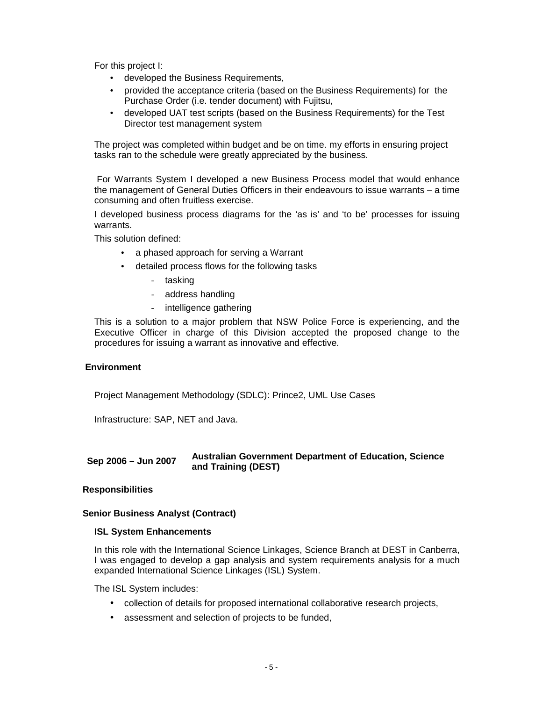For this project I:

- developed the Business Requirements,
- provided the acceptance criteria (based on the Business Requirements) for the Purchase Order (i.e. tender document) with Fujitsu,
- developed UAT test scripts (based on the Business Requirements) for the Test Director test management system

The project was completed within budget and be on time. my efforts in ensuring project tasks ran to the schedule were greatly appreciated by the business.

For Warrants System I developed a new Business Process model that would enhance the management of General Duties Officers in their endeavours to issue warrants – a time consuming and often fruitless exercise.

I developed business process diagrams for the 'as is' and 'to be' processes for issuing warrants.

This solution defined:

- a phased approach for serving a Warrant
- detailed process flows for the following tasks
	- tasking
	- address handling
	- intelligence gathering

This is a solution to a major problem that NSW Police Force is experiencing, and the Executive Officer in charge of this Division accepted the proposed change to the procedures for issuing a warrant as innovative and effective.

#### **Environment**

Project Management Methodology (SDLC): Prince2, UML Use Cases

Infrastructure: SAP, NET and Java.

#### **Sep 2006 – Jun 2007 Australian Government Department of Education, Science and Training (DEST)**

## **Responsibilities**

#### **Senior Business Analyst (Contract)**

#### **ISL System Enhancements**

In this role with the International Science Linkages, Science Branch at DEST in Canberra, I was engaged to develop a gap analysis and system requirements analysis for a much expanded International Science Linkages (ISL) System.

The ISL System includes:

- collection of details for proposed international collaborative research projects,
- assessment and selection of projects to be funded,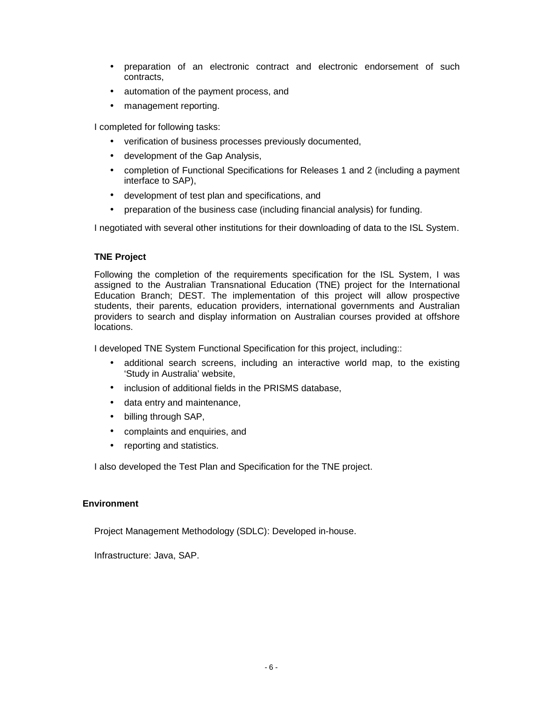- preparation of an electronic contract and electronic endorsement of such contracts,
- automation of the payment process, and
- management reporting.

I completed for following tasks:

- verification of business processes previously documented,
- development of the Gap Analysis,
- completion of Functional Specifications for Releases 1 and 2 (including a payment interface to SAP),
- development of test plan and specifications, and
- preparation of the business case (including financial analysis) for funding.

I negotiated with several other institutions for their downloading of data to the ISL System.

## **TNE Project**

Following the completion of the requirements specification for the ISL System, I was assigned to the Australian Transnational Education (TNE) project for the International Education Branch; DEST. The implementation of this project will allow prospective students, their parents, education providers, international governments and Australian providers to search and display information on Australian courses provided at offshore locations.

I developed TNE System Functional Specification for this project, including::

- additional search screens, including an interactive world map, to the existing 'Study in Australia' website,
- inclusion of additional fields in the PRISMS database,
- data entry and maintenance,
- billing through SAP,
- complaints and enquiries, and
- reporting and statistics.

I also developed the Test Plan and Specification for the TNE project.

## **Environment**

Project Management Methodology (SDLC): Developed in-house.

Infrastructure: Java, SAP.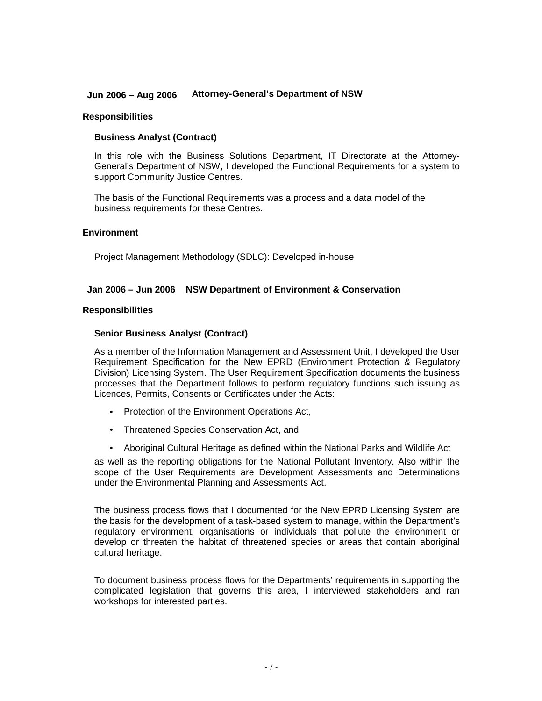## **Jun 2006 – Aug 2006 Attorney-General's Department of NSW**

#### **Responsibilities**

## **Business Analyst (Contract)**

In this role with the Business Solutions Department, IT Directorate at the Attorney-General's Department of NSW, I developed the Functional Requirements for a system to support Community Justice Centres.

The basis of the Functional Requirements was a process and a data model of the business requirements for these Centres.

#### **Environment**

Project Management Methodology (SDLC): Developed in-house

## **Jan 2006 – Jun 2006 NSW Department of Environment & Conservation**

#### **Responsibilities**

#### **Senior Business Analyst (Contract)**

As a member of the Information Management and Assessment Unit, I developed the User Requirement Specification for the New EPRD (Environment Protection & Regulatory Division) Licensing System. The User Requirement Specification documents the business processes that the Department follows to perform regulatory functions such issuing as Licences, Permits, Consents or Certificates under the Acts:

- Protection of the Environment Operations Act,
- Threatened Species Conservation Act, and
- Aboriginal Cultural Heritage as defined within the National Parks and Wildlife Act

as well as the reporting obligations for the National Pollutant Inventory. Also within the scope of the User Requirements are Development Assessments and Determinations under the Environmental Planning and Assessments Act.

The business process flows that I documented for the New EPRD Licensing System are the basis for the development of a task-based system to manage, within the Department's regulatory environment, organisations or individuals that pollute the environment or develop or threaten the habitat of threatened species or areas that contain aboriginal cultural heritage.

To document business process flows for the Departments' requirements in supporting the complicated legislation that governs this area, I interviewed stakeholders and ran workshops for interested parties.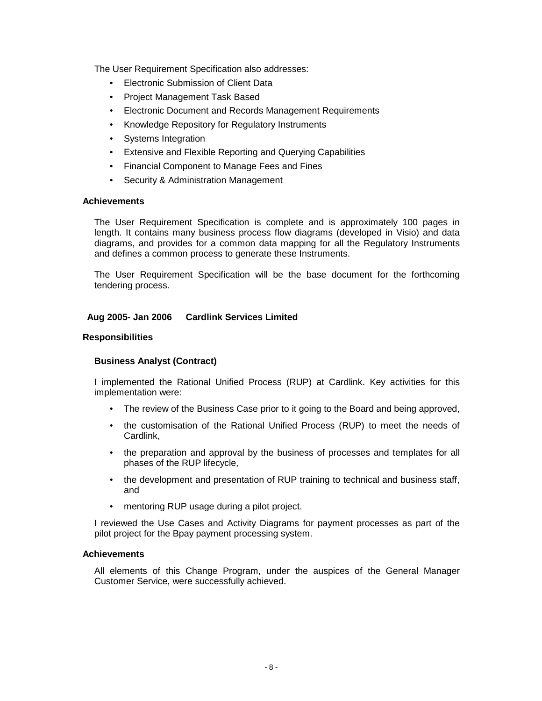The User Requirement Specification also addresses:

- Electronic Submission of Client Data
- Project Management Task Based
- Electronic Document and Records Management Requirements
- Knowledge Repository for Regulatory Instruments
- Systems Integration
- Extensive and Flexible Reporting and Querying Capabilities
- Financial Component to Manage Fees and Fines
- Security & Administration Management

## **Achievements**

The User Requirement Specification is complete and is approximately 100 pages in length. It contains many business process flow diagrams (developed in Visio) and data diagrams, and provides for a common data mapping for all the Regulatory Instruments and defines a common process to generate these Instruments.

The User Requirement Specification will be the base document for the forthcoming tendering process.

# **Aug 2005- Jan 2006 Cardlink Services Limited**

## **Responsibilities**

## **Business Analyst (Contract)**

I implemented the Rational Unified Process (RUP) at Cardlink. Key activities for this implementation were:

- The review of the Business Case prior to it going to the Board and being approved,
- the customisation of the Rational Unified Process (RUP) to meet the needs of Cardlink,
- the preparation and approval by the business of processes and templates for all phases of the RUP lifecycle,
- the development and presentation of RUP training to technical and business staff, and
- mentoring RUP usage during a pilot project.

I reviewed the Use Cases and Activity Diagrams for payment processes as part of the pilot project for the Bpay payment processing system.

## **Achievements**

All elements of this Change Program, under the auspices of the General Manager Customer Service, were successfully achieved.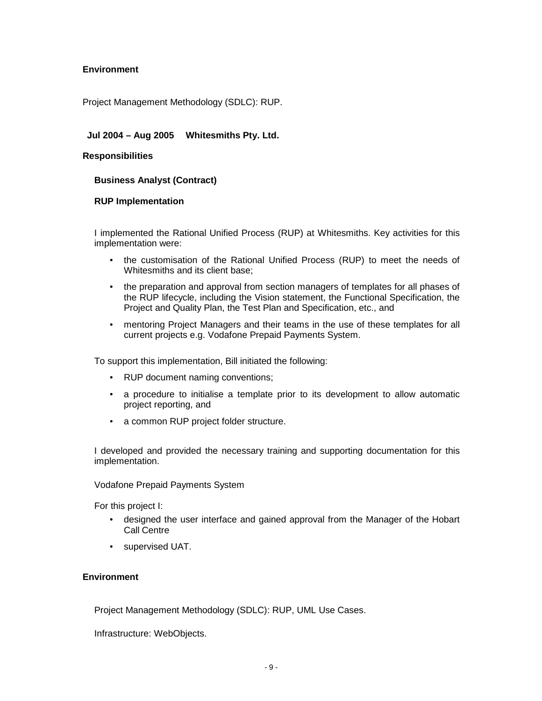# **Environment**

Project Management Methodology (SDLC): RUP.

# **Jul 2004 – Aug 2005 Whitesmiths Pty. Ltd.**

## **Responsibilities**

## **Business Analyst (Contract)**

## **RUP Implementation**

I implemented the Rational Unified Process (RUP) at Whitesmiths. Key activities for this implementation were:

- the customisation of the Rational Unified Process (RUP) to meet the needs of Whitesmiths and its client base;
- the preparation and approval from section managers of templates for all phases of the RUP lifecycle, including the Vision statement, the Functional Specification, the Project and Quality Plan, the Test Plan and Specification, etc., and
- mentoring Project Managers and their teams in the use of these templates for all current projects e.g. Vodafone Prepaid Payments System.

To support this implementation, Bill initiated the following:

- RUP document naming conventions;
- a procedure to initialise a template prior to its development to allow automatic project reporting, and
- a common RUP project folder structure.

I developed and provided the necessary training and supporting documentation for this implementation.

## Vodafone Prepaid Payments System

For this project I:

- designed the user interface and gained approval from the Manager of the Hobart Call Centre
- supervised UAT.

## **Environment**

Project Management Methodology (SDLC): RUP, UML Use Cases.

Infrastructure: WebObjects.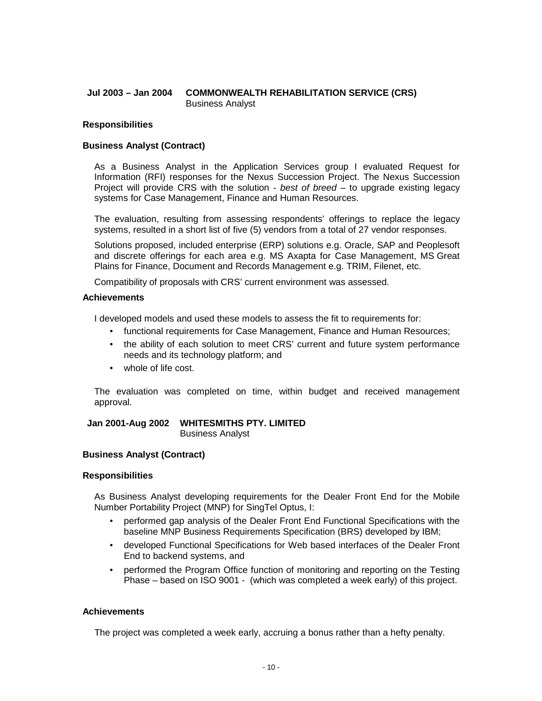## **Jul 2003 – Jan 2004 COMMONWEALTH REHABILITATION SERVICE (CRS)** Business Analyst

## **Responsibilities**

## **Business Analyst (Contract)**

As a Business Analyst in the Application Services group I evaluated Request for Information (RFI) responses for the Nexus Succession Project. The Nexus Succession Project will provide CRS with the solution - best of breed – to upgrade existing legacy systems for Case Management, Finance and Human Resources.

The evaluation, resulting from assessing respondents' offerings to replace the legacy systems, resulted in a short list of five (5) vendors from a total of 27 vendor responses.

Solutions proposed, included enterprise (ERP) solutions e.g. Oracle, SAP and Peoplesoft and discrete offerings for each area e.g. MS Axapta for Case Management, MS Great Plains for Finance, Document and Records Management e.g. TRIM, Filenet, etc.

Compatibility of proposals with CRS' current environment was assessed.

## **Achievements**

I developed models and used these models to assess the fit to requirements for:

- functional requirements for Case Management, Finance and Human Resources;
- the ability of each solution to meet CRS' current and future system performance needs and its technology platform; and
- whole of life cost.

The evaluation was completed on time, within budget and received management approval.

**Jan 2001-Aug 2002 WHITESMITHS PTY. LIMITED** Business Analyst

## **Business Analyst (Contract)**

## **Responsibilities**

As Business Analyst developing requirements for the Dealer Front End for the Mobile Number Portability Project (MNP) for SingTel Optus, I:

- performed gap analysis of the Dealer Front End Functional Specifications with the baseline MNP Business Requirements Specification (BRS) developed by IBM;
- developed Functional Specifications for Web based interfaces of the Dealer Front End to backend systems, and
- performed the Program Office function of monitoring and reporting on the Testing Phase – based on ISO 9001 - (which was completed a week early) of this project.

## **Achievements**

The project was completed a week early, accruing a bonus rather than a hefty penalty.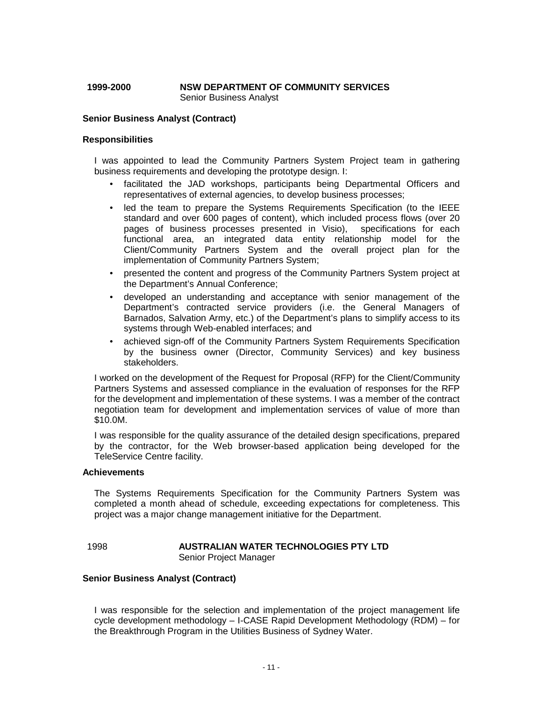## **1999-2000 NSW DEPARTMENT OF COMMUNITY SERVICES** Senior Business Analyst

#### **Senior Business Analyst (Contract)**

#### **Responsibilities**

I was appointed to lead the Community Partners System Project team in gathering business requirements and developing the prototype design. I:

- facilitated the JAD workshops, participants being Departmental Officers and representatives of external agencies, to develop business processes;
- led the team to prepare the Systems Requirements Specification (to the IEEE standard and over 600 pages of content), which included process flows (over 20 pages of business processes presented in Visio), specifications for each functional area, an integrated data entity relationship model for the Client/Community Partners System and the overall project plan for the implementation of Community Partners System;
- presented the content and progress of the Community Partners System project at the Department's Annual Conference;
- developed an understanding and acceptance with senior management of the Department's contracted service providers (i.e. the General Managers of Barnados, Salvation Army, etc.) of the Department's plans to simplify access to its systems through Web-enabled interfaces; and
- achieved sign-off of the Community Partners System Requirements Specification by the business owner (Director, Community Services) and key business stakeholders.

I worked on the development of the Request for Proposal (RFP) for the Client/Community Partners Systems and assessed compliance in the evaluation of responses for the RFP for the development and implementation of these systems. I was a member of the contract negotiation team for development and implementation services of value of more than \$10.0M.

I was responsible for the quality assurance of the detailed design specifications, prepared by the contractor, for the Web browser-based application being developed for the TeleService Centre facility.

#### **Achievements**

The Systems Requirements Specification for the Community Partners System was completed a month ahead of schedule, exceeding expectations for completeness. This project was a major change management initiative for the Department.

## 1998 **AUSTRALIAN WATER TECHNOLOGIES PTY LTD** Senior Project Manager

## **Senior Business Analyst (Contract)**

I was responsible for the selection and implementation of the project management life cycle development methodology – I-CASE Rapid Development Methodology (RDM) – for the Breakthrough Program in the Utilities Business of Sydney Water.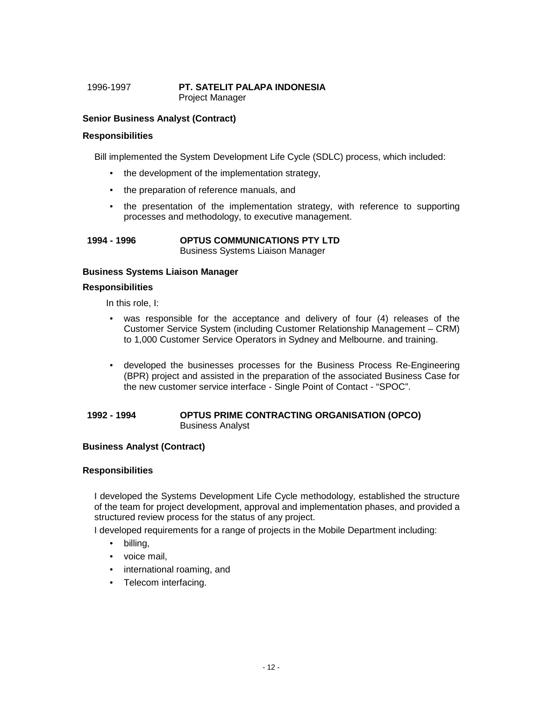## 1996-1997 **PT. SATELIT PALAPA INDONESIA** Project Manager

## **Senior Business Analyst (Contract)**

## **Responsibilities**

Bill implemented the System Development Life Cycle (SDLC) process, which included:

- the development of the implementation strategy,
- the preparation of reference manuals, and
- the presentation of the implementation strategy, with reference to supporting processes and methodology, to executive management.

#### **1994 - 1996 OPTUS COMMUNICATIONS PTY LTD** Business Systems Liaison Manager

## **Business Systems Liaison Manager**

## **Responsibilities**

In this role, I:

- was responsible for the acceptance and delivery of four (4) releases of the Customer Service System (including Customer Relationship Management – CRM) to 1,000 Customer Service Operators in Sydney and Melbourne. and training.
- developed the businesses processes for the Business Process Re-Engineering (BPR) project and assisted in the preparation of the associated Business Case for the new customer service interface - Single Point of Contact - "SPOC".

## **1992 - 1994 OPTUS PRIME CONTRACTING ORGANISATION (OPCO)** Business Analyst

## **Business Analyst (Contract)**

## **Responsibilities**

I developed the Systems Development Life Cycle methodology, established the structure of the team for project development, approval and implementation phases, and provided a structured review process for the status of any project.

I developed requirements for a range of projects in the Mobile Department including:

- billing,
- voice mail,
- international roaming, and
- Telecom interfacing.